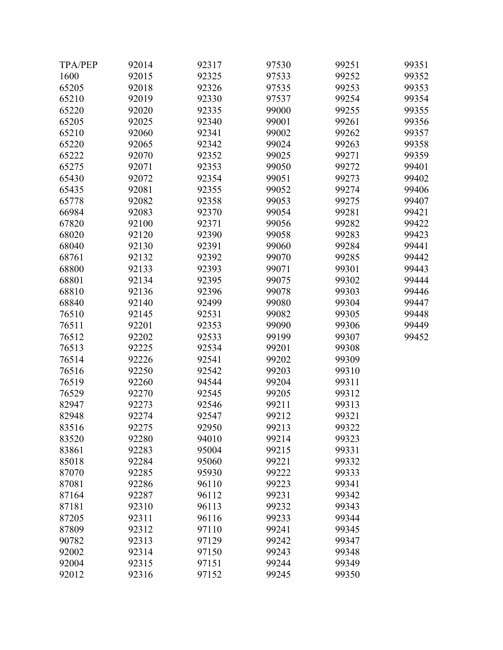| <b>TPA/PEP</b> | 92014 | 92317 | 97530 | 99251 | 99351 |
|----------------|-------|-------|-------|-------|-------|
| 1600           | 92015 | 92325 | 97533 | 99252 | 99352 |
| 65205          | 92018 | 92326 | 97535 | 99253 | 99353 |
| 65210          | 92019 | 92330 | 97537 | 99254 | 99354 |
| 65220          | 92020 | 92335 | 99000 | 99255 | 99355 |
| 65205          | 92025 | 92340 | 99001 | 99261 | 99356 |
| 65210          | 92060 | 92341 | 99002 | 99262 | 99357 |
| 65220          | 92065 | 92342 | 99024 | 99263 | 99358 |
| 65222          | 92070 | 92352 | 99025 | 99271 | 99359 |
| 65275          | 92071 | 92353 | 99050 | 99272 | 99401 |
| 65430          | 92072 | 92354 | 99051 | 99273 | 99402 |
| 65435          | 92081 | 92355 | 99052 | 99274 | 99406 |
| 65778          | 92082 | 92358 | 99053 | 99275 | 99407 |
| 66984          | 92083 | 92370 | 99054 | 99281 | 99421 |
| 67820          | 92100 | 92371 | 99056 | 99282 | 99422 |
| 68020          | 92120 | 92390 | 99058 | 99283 | 99423 |
| 68040          | 92130 | 92391 | 99060 | 99284 | 99441 |
| 68761          | 92132 | 92392 | 99070 | 99285 | 99442 |
| 68800          | 92133 | 92393 | 99071 | 99301 | 99443 |
| 68801          | 92134 | 92395 | 99075 | 99302 | 99444 |
| 68810          | 92136 | 92396 | 99078 | 99303 | 99446 |
| 68840          | 92140 | 92499 | 99080 | 99304 | 99447 |
| 76510          | 92145 | 92531 | 99082 | 99305 | 99448 |
| 76511          | 92201 | 92353 | 99090 | 99306 | 99449 |
| 76512          | 92202 | 92533 | 99199 | 99307 | 99452 |
| 76513          | 92225 | 92534 | 99201 | 99308 |       |
| 76514          | 92226 | 92541 | 99202 | 99309 |       |
| 76516          | 92250 | 92542 | 99203 | 99310 |       |
| 76519          | 92260 | 94544 | 99204 | 99311 |       |
| 76529          | 92270 | 92545 | 99205 | 99312 |       |
| 82947          | 92273 | 92546 | 99211 | 99313 |       |
| 82948          | 92274 | 92547 | 99212 | 99321 |       |
| 83516          | 92275 | 92950 | 99213 | 99322 |       |
| 83520          | 92280 | 94010 | 99214 | 99323 |       |
| 83861          | 92283 | 95004 | 99215 | 99331 |       |
| 85018          | 92284 | 95060 | 99221 | 99332 |       |
| 87070          | 92285 | 95930 | 99222 | 99333 |       |
| 87081          | 92286 | 96110 | 99223 | 99341 |       |
| 87164          | 92287 | 96112 | 99231 | 99342 |       |
| 87181          | 92310 | 96113 | 99232 | 99343 |       |
| 87205          | 92311 | 96116 | 99233 | 99344 |       |
| 87809          | 92312 | 97110 | 99241 | 99345 |       |
| 90782          | 92313 | 97129 | 99242 | 99347 |       |
| 92002          | 92314 | 97150 | 99243 | 99348 |       |
| 92004          | 92315 | 97151 | 99244 | 99349 |       |
| 92012          | 92316 | 97152 | 99245 | 99350 |       |